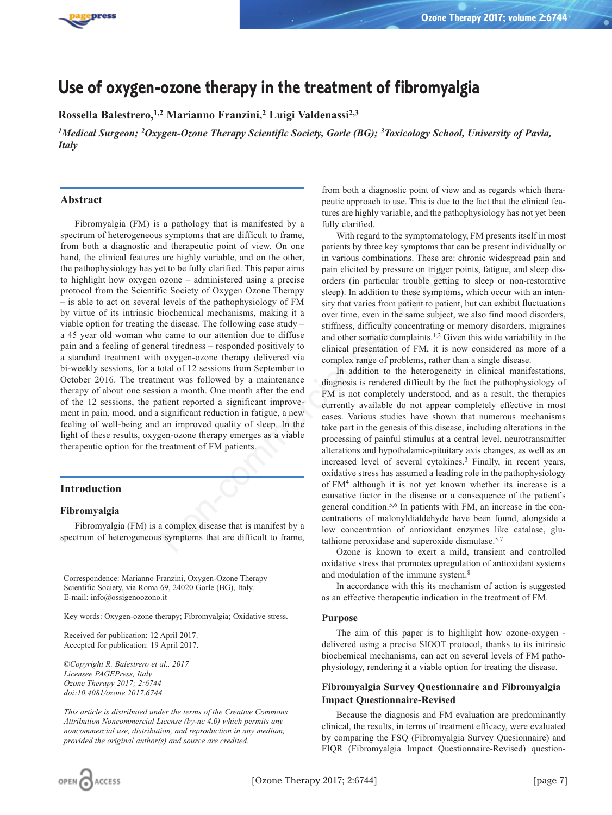

# **Use of oxygen-ozone therapy in the treatment of fibromyalgia**

**Rossella Balestrero,1,2 Marianno Franzini,2 Luigi Valdenassi2,3**

*1Medical Surgeon; 2Oxygen-Ozone Therapy Scientific Society, Gorle (BG); 3Toxicology School, University of Pavia, Italy*

## **Abstract**

Fibromyalgia (FM) is a pathology that is manifested by a spectrum of heterogeneous symptoms that are difficult to frame, from both a diagnostic and therapeutic point of view. On one hand, the clinical features are highly variable, and on the other, the pathophysiology has yet to be fully clarified. This paper aims to highlight how oxygen ozone – administered using a precise protocol from the Scientific Society of Oxygen Ozone Therapy – is able to act on several levels of the pathophysiology of FM by virtue of its intrinsic biochemical mechanisms, making it a viable option for treating the disease. The following case study – a 45 year old woman who came to our attention due to diffuse pain and a feeling of general tiredness – responded positively to a standard treatment with oxygen-ozone therapy delivered via bi-weekly sessions, for a total of 12 sessions from September to October 2016. The treatment was followed by a maintenance therapy of about one session a month. One month after the end of the 12 sessions, the patient reported a significant improvement in pain, mood, and a significant reduction in fatigue, a new feeling of well-being and an improved quality of sleep. In the light of these results, oxygen-ozone therapy emerges as a viable therapeutic option for the treatment of FM patients. et to be fully clarified. This paper aims<br>
or the particular or the particular computer of the particular or the core of the particular computer<br>
for Society of Oxygen Ozone Therapy sleep). In addition to these symptom<br>
l

#### **Introduction**

## **Fibromyalgia**

Fibromyalgia (FM) is a complex disease that is manifest by a spectrum of heterogeneous symptoms that are difficult to frame,

Correspondence: Marianno Franzini, Oxygen-Ozone Therapy Scientific Society, via Roma 69, 24020 Gorle (BG), Italy. E-mail: info@ossigenoozono.it

Key words: Oxygen-ozone therapy; Fibromyalgia; Oxidative stress.

Received for publication: 12 April 2017. Accepted for publication: 19 April 2017.

©*Copyright R. Balestrero et al., 2017 Licensee PAGEPress, Italy Ozone Therapy 2017; 2:6744 doi:10.4081/ozone.2017.6744*

*This article is distributed under the terms of the Creative Commons Attribution Noncommercial License (by-nc 4.0) which permits any noncommercial use, distribution, and reproduction in any medium, provided the original author(s) and source are credited.*

from both a diagnostic point of view and as regards which therapeutic approach to use. This is due to the fact that the clinical features are highly variable, and the pathophysiology has not yet been fully clarified.

With regard to the symptomatology, FM presents itself in most patients by three key symptoms that can be present individually or in various combinations. These are: chronic widespread pain and pain elicited by pressure on trigger points, fatigue, and sleep disorders (in particular trouble getting to sleep or non-restorative sleep). In addition to these symptoms, which occur with an intensity that varies from patient to patient, but can exhibit fluctuations over time, even in the same subject, we also find mood disorders, stiffness, difficulty concentrating or memory disorders, migraines and other somatic complaints.1,2 Given this wide variability in the clinical presentation of FM, it is now considered as more of a complex range of problems, rather than a single disease.

In addition to the heterogeneity in clinical manifestations, diagnosis is rendered difficult by the fact the pathophysiology of FM is not completely understood, and as a result, the therapies currently available do not appear completely effective in most cases. Various studies have shown that numerous mechanisms take part in the genesis of this disease, including alterations in the processing of painful stimulus at a central level, neurotransmitter alterations and hypothalamic-pituitary axis changes, as well as an increased level of several cytokines.3 Finally, in recent years, oxidative stress has assumed a leading role in the pathophysiology of FM4 although it is not yet known whether its increase is a causative factor in the disease or a consequence of the patient's general condition.5,6 In patients with FM, an increase in the concentrations of malonyldialdehyde have been found, alongside a low concentration of antioxidant enzymes like catalase, glutathione peroxidase and superoxide dismutase.5,7

Ozone is known to exert a mild, transient and controlled oxidative stress that promotes upregulation of antioxidant systems and modulation of the immune system.<sup>8</sup>

In accordance with this its mechanism of action is suggested as an effective therapeutic indication in the treatment of FM.

#### **Purpose**

The aim of this paper is to highlight how ozone-oxygen delivered using a precise SIOOT protocol, thanks to its intrinsic biochemical mechanisms, can act on several levels of FM pathophysiology, rendering it a viable option for treating the disease.

# **Fibromyalgia Survey Questionnaire and Fibromyalgia Impact Questionnaire-Revised**

Because the diagnosis and FM evaluation are predominantly clinical, the results, in terms of treatment efficacy, were evaluated by comparing the FSQ (Fibromyalgia Survey Quesionnaire) and FIQR (Fibromyalgia Impact Questionnaire-Revised) question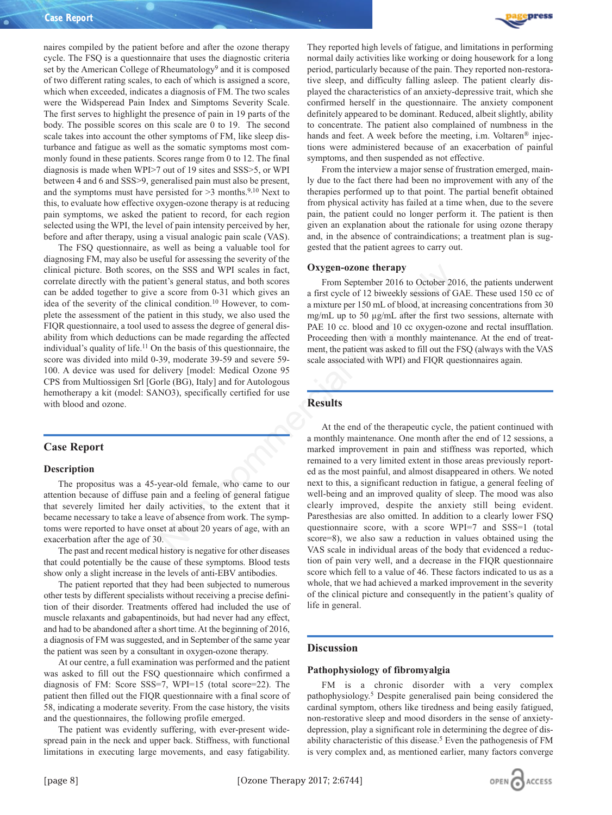naires compiled by the patient before and after the ozone therapy cycle. The FSQ is a questionnaire that uses the diagnostic criteria set by the American College of Rheumatology<sup>9</sup> and it is composed of two different rating scales, to each of which is assigned a score, which when exceeded, indicates a diagnosis of FM. The two scales were the Widsperead Pain Index and Simptoms Severity Scale. The first serves to highlight the presence of pain in 19 parts of the body. The possible scores on this scale are 0 to 19. The second scale takes into account the other symptoms of FM, like sleep disturbance and fatigue as well as the somatic symptoms most commonly found in these patients. Scores range from 0 to 12. The final diagnosis is made when WPI>7 out of 19 sites and SSS>5, or WPI between 4 and 6 and SSS>9, generalised pain must also be present, and the symptoms must have persisted for  $\geq$ 3 months.<sup>9,10</sup> Next to this, to evaluate how effective oxygen-ozone therapy is at reducing pain symptoms, we asked the patient to record, for each region selected using the WPI, the level of pain intensity perceived by her, before and after therapy, using a visual analogic pain scale (VAS).

The FSQ questionnaire, as well as being a valuable tool for diagnosing FM, may also be useful for assessing the severity of the clinical picture. Both scores, on the SSS and WPI scales in fact, correlate directly with the patient's general status, and both scores can be added together to give a score from 0-31 which gives an idea of the severity of the clinical condition.<sup>10</sup> However, to complete the assessment of the patient in this study, we also used the FIQR questionnaire, a tool used to assess the degree of general disability from which deductions can be made regarding the affected individual's quality of life.<sup>11</sup> On the basis of this questionnaire, the score was divided into mild 0-39, moderate 39-59 and severe 59- 100. A device was used for delivery [model: Medical Ozone 95 CPS from Multiossigen Srl [Gorle (BG), Italy] and for Autologous hemotherapy a kit (model: SANO3), specifically certified for use with blood and ozone.

## **Case Report**

#### **Description**

The propositus was a 45-year-old female, who came to our attention because of diffuse pain and a feeling of general fatigue that severely limited her daily activities, to the extent that it became necessary to take a leave of absence from work. The symptoms were reported to have onset at about 20 years of age, with an exacerbation after the age of 30.

The past and recent medical history is negative for other diseases that could potentially be the cause of these symptoms. Blood tests show only a slight increase in the levels of anti-EBV antibodies.

The patient reported that they had been subjected to numerous other tests by different specialists without receiving a precise definition of their disorder. Treatments offered had included the use of muscle relaxants and gabapentinoids, but had never had any effect, and had to be abandoned after a short time. At the beginning of 2016, a diagnosis of FM was suggested, and in September of the same year the patient was seen by a consultant in oxygen-ozone therapy.

At our centre, a full examination was performed and the patient was asked to fill out the FSQ questionnaire which confirmed a diagnosis of FM: Score SSS=7, WPI=15 (total score=22). The patient then filled out the FIQR questionnaire with a final score of 58, indicating a moderate severity. From the case history, the visits and the questionnaires, the following profile emerged.

The patient was evidently suffering, with ever-present widespread pain in the neck and upper back. Stiffness, with functional limitations in executing large movements, and easy fatigability.



They reported high levels of fatigue, and limitations in performing normal daily activities like working or doing housework for a long period, particularly because of the pain. They reported non-restorative sleep, and difficulty falling asleep. The patient clearly displayed the characteristics of an anxiety-depressive trait, which she confirmed herself in the questionnaire. The anxiety component definitely appeared to be dominant. Reduced, albeit slightly, ability to concentrate. The patient also complained of numbness in the hands and feet. A week before the meeting, i.m. Voltaren<sup>®</sup> injections were administered because of an exacerbation of painful symptoms, and then suspended as not effective.

From the interview a major sense of frustration emerged, mainly due to the fact there had been no improvement with any of the therapies performed up to that point. The partial benefit obtained from physical activity has failed at a time when, due to the severe pain, the patient could no longer perform it. The patient is then given an explanation about the rationale for using ozone therapy and, in the absence of contraindications; a treatment plan is suggested that the patient agrees to carry out.

#### **Oxygen-ozone therapy**

From September 2016 to October 2016, the patients underwent a first cycle of 12 biweekly sessions of GAE. These used 150 cc of a mixture per 150 mL of blood, at increasing concentrations from 30 mg/mL up to 50 µg/mL after the first two sessions, alternate with PAE 10 cc. blood and 10 cc oxygen-ozone and rectal insufflation. Proceeding then with a monthly maintenance. At the end of treatment, the patient was asked to fill out the FSQ (always with the VAS scale associated with WPI) and FIQR questionnaires again.

## **Results**

At the end of the therapeutic cycle, the patient continued with a monthly maintenance. One month after the end of 12 sessions, a marked improvement in pain and stiffness was reported, which remained to a very limited extent in those areas previously reported as the most painful, and almost disappeared in others. We noted next to this, a significant reduction in fatigue, a general feeling of well-being and an improved quality of sleep. The mood was also clearly improved, despite the anxiety still being evident. Paresthesias are also omitted. In addition to a clearly lower FSQ questionnaire score, with a score WPI=7 and SSS=1 (total score=8), we also saw a reduction in values obtained using the VAS scale in individual areas of the body that evidenced a reduction of pain very well, and a decrease in the FIQR questionnaire score which fell to a value of 46. These factors indicated to us as a whole, that we had achieved a marked improvement in the severity of the clinical picture and consequently in the patient's quality of life in general. In the SSS and WPI scales in fact,<br>
and the SSS and WPI scales in fact,<br>
and both scores<br>
and both scores<br>
and both scores<br>
and both scores<br>
and this study, we also used the amgmL up to 50 µg/mL after the first two<br>
iten i

## **Discussion**

#### **Pathophysiology of fibromyalgia**

FM is a chronic disorder with a very complex pathophysiology.5 Despite generalised pain being considered the cardinal symptom, others like tiredness and being easily fatigued, non-restorative sleep and mood disorders in the sense of anxietydepression, play a significant role in determining the degree of disability characteristic of this disease.<sup>5</sup> Even the pathogenesis of FM is very complex and, as mentioned earlier, many factors converge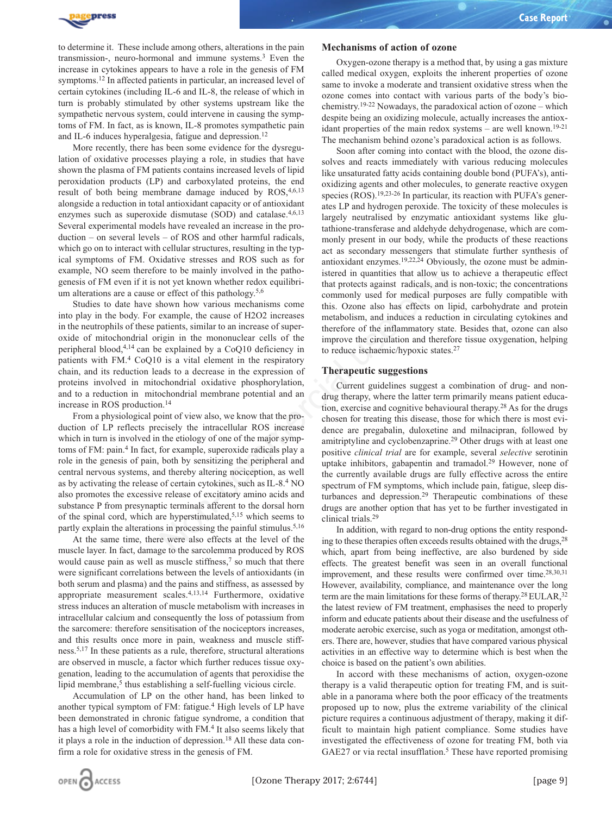

to determine it. These include among others, alterations in the pain transmission-, neuro-hormonal and immune systems.3 Even the increase in cytokines appears to have a role in the genesis of FM symptoms.12 In affected patients in particular, an increased level of certain cytokines (including IL-6 and IL-8, the release of which in turn is probably stimulated by other systems upstream like the sympathetic nervous system, could intervene in causing the symptoms of FM. In fact, as is known, IL-8 promotes sympathetic pain and IL-6 induces hyperalgesia, fatigue and depression.12

More recently, there has been some evidence for the dysregulation of oxidative processes playing a role, in studies that have shown the plasma of FM patients contains increased levels of lipid peroxidation products (LP) and carboxylated proteins, the end result of both being membrane damage induced by ROS,<sup>4,6,13</sup> alongside a reduction in total antioxidant capacity or of antioxidant enzymes such as superoxide dismutase (SOD) and catalase.<sup>4,6,13</sup> Several experimental models have revealed an increase in the production – on several levels – of ROS and other harmful radicals, which go on to interact with cellular structures, resulting in the typical symptoms of FM. Oxidative stresses and ROS such as for example, NO seem therefore to be mainly involved in the pathogenesis of FM even if it is not yet known whether redox equilibrium alterations are a cause or effect of this pathology.5,6

Studies to date have shown how various mechanisms come into play in the body. For example, the cause of H2O2 increases in the neutrophils of these patients, similar to an increase of superoxide of mitochondrial origin in the mononuclear cells of the peripheral blood,4,14 can be explained by a CoQ10 deficiency in patients with FM.4 CoQ10 is a vital element in the respiratory chain, and its reduction leads to a decrease in the expression of proteins involved in mitochondrial oxidative phosphorylation, and to a reduction in mitochondrial membrane potential and an increase in ROS production.14

From a physiological point of view also, we know that the production of LP reflects precisely the intracellular ROS increase which in turn is involved in the etiology of one of the major symptoms of FM: pain.4 In fact, for example, superoxide radicals play a role in the genesis of pain, both by sensitizing the peripheral and central nervous systems, and thereby altering nociception, as well as by activating the release of certain cytokines, such as IL-8.4 NO also promotes the excessive release of excitatory amino acids and substance P from presynaptic terminals afferent to the dorsal horn of the spinal cord, which are hyperstimulated,5,15 which seems to partly explain the alterations in processing the painful stimulus.<sup>5,16</sup>

At the same time, there were also effects at the level of the muscle layer. In fact, damage to the sarcolemma produced by ROS would cause pain as well as muscle stiffness, $\frac{7}{1}$  so much that there were significant correlations between the levels of antioxidants (in both serum and plasma) and the pains and stiffness, as assessed by appropriate measurement scales.4,13,14 Furthermore, oxidative stress induces an alteration of muscle metabolism with increases in intracellular calcium and consequently the loss of potassium from the sarcomere: therefore sensitisation of the nociceptors increases, and this results once more in pain, weakness and muscle stiffness.5,17 In these patients as a rule, therefore, structural alterations are observed in muscle, a factor which further reduces tissue oxygenation, leading to the accumulation of agents that peroxidise the lipid membrane,<sup>5</sup> thus establishing a self-fuelling vicious circle.

Accumulation of LP on the other hand, has been linked to another typical symptom of FM: fatigue.4 High levels of LP have been demonstrated in chronic fatigue syndrome, a condition that has a high level of comorbidity with FM.<sup>4</sup> It also seems likely that it plays a role in the induction of depression.<sup>18</sup> All these data confirm a role for oxidative stress in the genesis of FM.

#### **Mechanisms of action of ozone**

[Oxygen-ozone therapy](https://www.austinozone.com) is a method that, by using a gas mixture called medical oxygen, exploits the inherent properties of ozone same to invoke a moderate and transient oxidative stress when the ozone comes into contact with various parts of the body's biochemistry.19-22 Nowadays, the paradoxical action of ozone – which despite being an oxidizing molecule, actually increases the antioxidant properties of the main redox systems – are well known.<sup>19-21</sup> The mechanism behind ozone's paradoxical action is as follows.

Soon after coming into contact with the blood, the ozone dissolves and reacts immediately with various reducing molecules like unsaturated fatty acids containing double bond (PUFA's), antioxidizing agents and other molecules, to generate reactive oxygen species (ROS).<sup>19,23-26</sup> In particular, its reaction with PUFA's generates LP and hydrogen peroxide. The toxicity of these molecules is largely neutralised by enzymatic antioxidant systems like glutathione-transferase and aldehyde dehydrogenase, which are commonly present in our body, while the products of these reactions act as secondary messengers that stimulate further synthesis of antioxidant enzymes.19,22,24 Obviously, the ozone must be administered in quantities that allow us to achieve a therapeutic effect that protects against radicals, and is non-toxic; the concentrations commonly used for medical purposes are fully compatible with this. Ozone also has effects on lipid, carbohydrate and protein metabolism, and induces a reduction in circulating cytokines and therefore of the inflammatory state. Besides that, ozone can also improve the circulation and therefore tissue oxygenation, helping to reduce ischaemic/hypoxic states.27

#### **Therapeutic suggestions**

Current guidelines suggest a combination of drug- and nondrug therapy, where the latter term primarily means patient education, exercise and cognitive behavioural therapy.28 As for the drugs chosen for treating this disease, those for which there is most evidence are pregabalin, duloxetine and milnacipran, followed by amitriptyline and cyclobenzaprine.29 Other drugs with at least one positive *clinical trial* are for example, several *selective* serotinin uptake inhibitors, gabapentin and tramadol.<sup>29</sup> However, none of the currently available drugs are fully effective across the entire spectrum of FM symptoms, which include pain, fatigue, sleep disturbances and depression.29 Therapeutic combinations of these drugs are another option that has yet to be further investigated in clinical trials.29 re to be mainly involved in the patho-<br>
istered in quantities that allow us to<br>
not yet known whether redox equilibri-<br>
not or effect of this pathology.<sup>5,6</sup><br>
hown how various mechanisms come<br>
this. Ozone also has effects

In addition, with regard to non-drug options the entity responding to these therapies often exceeds results obtained with the drugs, <sup>28</sup> which, apart from being ineffective, are also burdened by side effects. The greatest benefit was seen in an overall functional improvement, and these results were confirmed over time.28,30,31 However, availability, compliance, and maintenance over the long term are the main limitations for these forms of therapy.<sup>28</sup> EULAR,<sup>32</sup> the latest review of FM treatment, emphasises the need to properly inform and educate patients about their disease and the usefulness of moderate aerobic exercise, such as yoga or meditation, amongst others. There are, however, studies that have compared various physical activities in an effective way to determine which is best when the choice is based on the patient's own abilities.

In accord with these mechanisms of action, oxygen-ozone therapy is a valid therapeutic option for treating FM, and is suitable in a panorama where both the poor efficacy of the treatments proposed up to now, plus the extreme variability of the clinical picture requires a continuous adjustment of therapy, making it difficult to maintain high patient compliance. Some studies have investigated the effectiveness of ozone for treating FM, both via  $GAE27$  or via rectal insufflation.<sup>5</sup> These have reported promising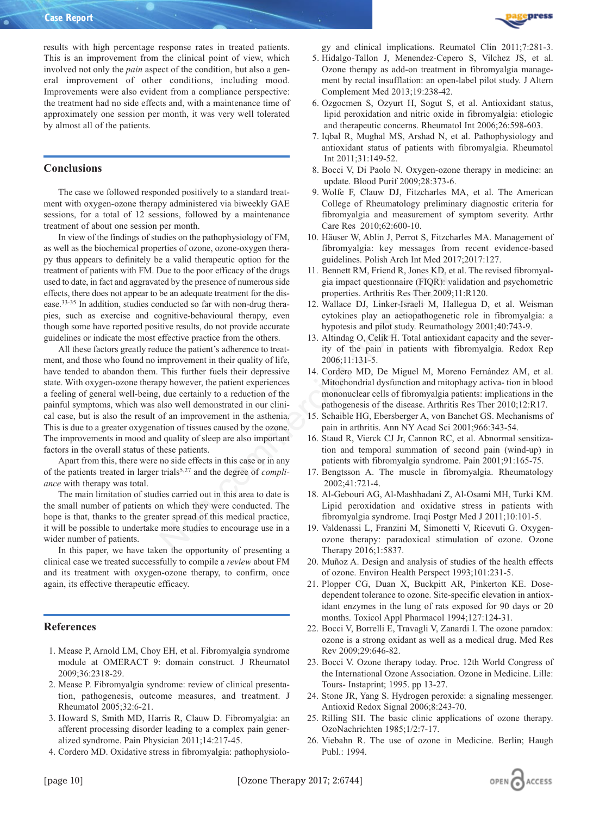results with high percentage response rates in treated patients. This is an improvement from the clinical point of view, which involved not only the *pain* aspect of the condition, but also a general improvement of other conditions, including mood. Improvements were also evident from a compliance perspective: the treatment had no side effects and, with a maintenance time of approximately one session per month, it was very well tolerated by almost all of the patients.

## **Conclusions**

The case we followed responded positively to a standard treatment with oxygen-ozone therapy administered via biweekly GAE sessions, for a total of 12 sessions, followed by a maintenance treatment of about one session per month.

In view of the findings of studies on the pathophysiology of FM, as well as the biochemical properties of ozone, ozone-oxygen therapy thus appears to definitely be a valid therapeutic option for the treatment of patients with FM. Due to the poor efficacy of the drugs used to date, in fact and aggravated by the presence of numerous side effects, there does not appear to be an adequate treatment for the disease.33-35 In addition, studies conducted so far with non-drug therapies, such as exercise and cognitive-behavioural therapy, even though some have reported positive results, do not provide accurate guidelines or indicate the most effective practice from the others.

All these factors greatly reduce the patient's adherence to treatment, and those who found no improvement in their quality of life, have tended to abandon them. This further fuels their depressive state. With oxygen-ozone therapy however, the patient experiences a feeling of general well-being, due certainly to a reduction of the painful symptoms, which was also well demonstrated in our clinical case, but is also the result of an improvement in the asthenia. This is due to a greater oxygenation of tissues caused by the ozone. The improvements in mood and quality of sleep are also important factors in the overall status of these patients. Due to the poor efficacy of the drugs<br>
11. Bennett RM, Friend R, Jones KD, et<br>
ted by the presence of numerous side impact questionaire (FIQR): variable and adequate treatment for the dis-<br>
properties. Arthritis Res Ther

Apart from this, there were no side effects in this case or in any of the patients treated in larger trials5,27 and the degree of *compliance* with therapy was total.

The main limitation of studies carried out in this area to date is the small number of patients on which they were conducted. The hope is that, thanks to the greater spread of this medical practice, it will be possible to undertake more studies to encourage use in a wider number of patients.

In this paper, we have taken the opportunity of presenting a clinical case we treated successfully to compile a *review* about FM and its treatment with oxygen-ozone therapy, to confirm, once again, its effective therapeutic efficacy.

### **References**

- 1. Mease P, Arnold LM, Choy EH, et al. Fibromyalgia syndrome module at OMERACT 9: domain construct. J Rheumatol 2009;36:2318-29.
- 2. Mease P. Fibromyalgia syndrome: review of clinical presentation, pathogenesis, outcome measures, and treatment. J Rheumatol 2005;32:6-21.
- 3. Howard S, Smith MD, Harris R, Clauw D. Fibromyalgia: an afferent processing disorder leading to a complex pain generalized syndrome. Pain Physician 2011;14:217-45.
- 4. Cordero MD. Oxidative stress in fibromyalgia: pathophysiolo-



gy and clinical implications. Reumatol Clin 2011;7:281-3.

- 5. Hidalgo-Tallon J, Menendez-Cepero S, Vilchez JS, et al. Ozone therapy as add-on treatment in fibromyalgia management by rectal insufflation: an open-label pilot study. J Altern Complement Med 2013;19:238-42.
- 6. Ozgocmen S, Ozyurt H, Sogut S, et al. Antioxidant status, lipid peroxidation and nitric oxide in fibromyalgia: etiologic and therapeutic concerns. Rheumatol Int 2006;26:598-603.
- 7. Iqbal R, Mughal MS, Arshad N, et al. Pathophysiology and antioxidant status of patients with fibromyalgia. Rheumatol Int 2011;31:149-52.
- 8. Bocci V, Di Paolo N. Oxygen-ozone therapy in medicine: an update. Blood Purif 2009;28:373-6.
- 9. Wolfe F, Clauw DJ, Fitzcharles MA, et al. The American College of Rheumatology preliminary diagnostic criteria for fibromyalgia and measurement of symptom severity. Arthr Care Res 2010;62:600-10.
- 10. Häuser W, Ablin J, Perrot S, Fitzcharles MA. Management of fibromyalgia: key messages from recent evidence-based guidelines. Polish Arch Int Med 2017;2017:127.
- 11. Bennett RM, Friend R, Jones KD, et al. The revised fibromyalgia impact questionnaire (FIQR): validation and psychometric properties. Arthritis Res Ther 2009;11:R120.
- 12. Wallace DJ, Linker-Israeli M, Hallegua D, et al. Weisman cytokines play an aetiopathogenetic role in fibromyalgia: a hypotesis and pilot study. Reumathology 2001;40:743-9.
- 13. Altindag O, Celik H. Total antioxidant capacity and the severity of the pain in patients with fibromyalgia. Redox Rep 2006;11:131-5.
- 14. Cordero MD, De Miguel M, Moreno Fernández AM, et al. Mitochondrial dysfunction and mitophagy activa- tion in blood mononuclear cells of fibromyalgia patients: implications in the pathogenesis of the disease. Arthritis Res Ther 2010;12:R17.
- 15. Schaible HG, Ebersberger A, von Banchet GS. Mechanisms of pain in arthritis. Ann NY Acad Sci 2001;966:343-54.
- 16. Staud R, Vierck CJ Jr, Cannon RC, et al. Abnormal sensitization and temporal summation of second pain (wind-up) in patients with fibromyalgia syndrome. Pain 2001;91:165-75.
- 17. Bengtsson A. The muscle in fibromyalgia. Rheumatology 2002;41:721-4.
- 18. Al-Gebouri AG, Al-Mashhadani Z, Al-Osami MH, Turki KM. Lipid peroxidation and oxidative stress in patients with fibromyalgia syndrome. Iraqi Postgr Med J 2011;10:101-5.
- 19. Valdenassi L, Franzini M, Simonetti V, Ricevuti G. Oxygenozone therapy: paradoxical stimulation of ozone. Ozone Therapy 2016;1:5837.
- 20. Muñoz A. Design and analysis of studies of the health effects of ozone. Environ Health Perspect 1993;101:231-5.
- 21. Plopper CG, Duan X, Buckpitt AR, Pinkerton KE. Dosedependent tolerance to ozone. Site-specific elevation in antioxidant enzymes in the lung of rats exposed for 90 days or 20 months. Toxicol Appl Pharmacol 1994;127:124-31.
- 22. Bocci V, Borrelli E, Travagli V, Zanardi I. The ozone paradox: ozone is a strong oxidant as well as a medical drug. Med Res Rev 2009;29:646-82.
- 23. Bocci V. Ozone therapy today. Proc. 12th World Congress of the International Ozone Association. Ozone in Medicine. Lille: Tours- Instaprint; 1995. pp 13-27.
- 24. Stone JR, Yang S. Hydrogen peroxide: a signaling messenger. Antioxid Redox Signal 2006;8:243-70.
- 25. Rilling SH. The basic clinic applications of ozone therapy. OzoNachrichten 1985;1/2:7-17.
- 26. Viebahn R. The use of ozone in Medicine. Berlin; Haugh Publ.: 1994.